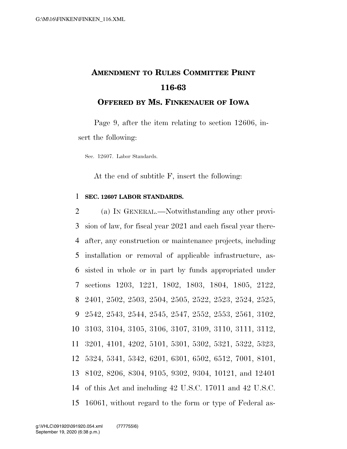## **AMENDMENT TO RULES COMMITTEE PRINT 116-63**

**OFFERED BY MS. FINKENAUER OF IOWA**

Page 9, after the item relating to section 12606, insert the following:

Sec. 12607. Labor Standards.

At the end of subtitle F, insert the following:

## 1 **SEC. 12607 LABOR STANDARDS.**

 (a) IN GENERAL.—Notwithstanding any other provi- sion of law, for fiscal year 2021 and each fiscal year there- after, any construction or maintenance projects, including installation or removal of applicable infrastructure, as- sisted in whole or in part by funds appropriated under sections 1203, 1221, 1802, 1803, 1804, 1805, 2122, 2401, 2502, 2503, 2504, 2505, 2522, 2523, 2524, 2525, 2542, 2543, 2544, 2545, 2547, 2552, 2553, 2561, 3102, 3103, 3104, 3105, 3106, 3107, 3109, 3110, 3111, 3112, 3201, 4101, 4202, 5101, 5301, 5302, 5321, 5322, 5323, 5324, 5341, 5342, 6201, 6301, 6502, 6512, 7001, 8101, 8102, 8206, 8304, 9105, 9302, 9304, 10121, and 12401 of this Act and including 42 U.S.C. 17011 and 42 U.S.C. 16061, without regard to the form or type of Federal as-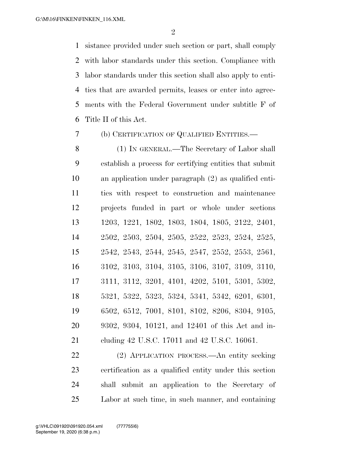sistance provided under such section or part, shall comply with labor standards under this section. Compliance with labor standards under this section shall also apply to enti- ties that are awarded permits, leases or enter into agree- ments with the Federal Government under subtitle F of Title II of this Act.

(b) CERTIFICATION OF QUALIFIED ENTITIES.—

 (1) IN GENERAL.—The Secretary of Labor shall establish a process for certifying entities that submit an application under paragraph (2) as qualified enti- ties with respect to construction and maintenance projects funded in part or whole under sections 1203, 1221, 1802, 1803, 1804, 1805, 2122, 2401, 2502, 2503, 2504, 2505, 2522, 2523, 2524, 2525, 2542, 2543, 2544, 2545, 2547, 2552, 2553, 2561, 3102, 3103, 3104, 3105, 3106, 3107, 3109, 3110, 3111, 3112, 3201, 4101, 4202, 5101, 5301, 5302, 5321, 5322, 5323, 5324, 5341, 5342, 6201, 6301, 6502, 6512, 7001, 8101, 8102, 8206, 8304, 9105, 9302, 9304, 10121, and 12401 of this Act and in-cluding 42 U.S.C. 17011 and 42 U.S.C. 16061.

 (2) APPLICATION PROCESS.—An entity seeking certification as a qualified entity under this section shall submit an application to the Secretary of Labor at such time, in such manner, and containing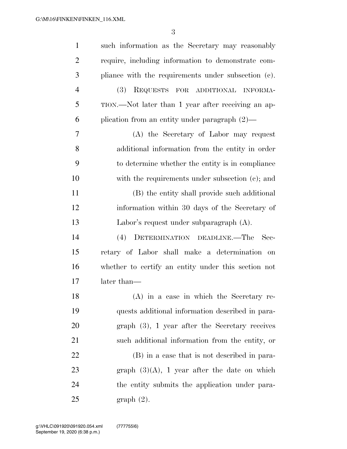| $\mathbf{1}$   | such information as the Secretary may reasonably    |
|----------------|-----------------------------------------------------|
| $\overline{2}$ | require, including information to demonstrate com-  |
| 3              | pliance with the requirements under subsection (c). |
| $\overline{4}$ | (3)<br>REQUESTS FOR ADDITIONAL INFORMA-             |
| 5              | TION.—Not later than 1 year after receiving an ap-  |
| 6              | plication from an entity under paragraph $(2)$ —    |
| 7              | (A) the Secretary of Labor may request              |
| 8              | additional information from the entity in order     |
| 9              | to determine whether the entity is in compliance    |
| 10             | with the requirements under subsection (c); and     |
| 11             | (B) the entity shall provide such additional        |
| 12             | information within 30 days of the Secretary of      |
| 13             | Labor's request under subparagraph $(A)$ .          |
| 14             | DETERMINATION DEADLINE.—The<br>(4)<br>- Sec-        |
| 15             | retary of Labor shall make a determination on       |
| 16             | whether to certify an entity under this section not |
| 17             | later than—                                         |
| 18             | (A) in a case in which the Secretary re-            |
| 19             | quests additional information described in para-    |
| 20             | $graph(3)$ , 1 year after the Secretary receives    |
| 21             | such additional information from the entity, or     |
| 22             | (B) in a case that is not described in para-        |
| 23             | graph $(3)(A)$ , 1 year after the date on which     |
| 24             | the entity submits the application under para-      |
| 25             | $graph(2)$ .                                        |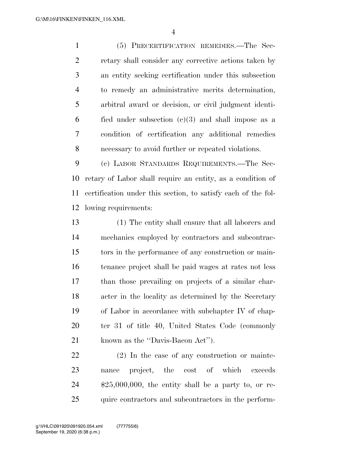(5) PRECERTIFICATION REMEDIES.—The Sec- retary shall consider any corrective actions taken by an entity seeking certification under this subsection to remedy an administrative merits determination, arbitral award or decision, or civil judgment identi-6 fied under subsection  $(e)(3)$  and shall impose as a condition of certification any additional remedies necessary to avoid further or repeated violations.

 (c) LABOR STANDARDS REQUIREMENTS.—The Sec- retary of Labor shall require an entity, as a condition of certification under this section, to satisfy each of the fol-lowing requirements:

 (1) The entity shall ensure that all laborers and mechanics employed by contractors and subcontrac- tors in the performance of any construction or main- tenance project shall be paid wages at rates not less than those prevailing on projects of a similar char- acter in the locality as determined by the Secretary of Labor in accordance with subchapter IV of chap- ter 31 of title 40, United States Code (commonly 21 known as the "Davis-Bacon Act").

 (2) In the case of any construction or mainte- nance project, the cost of which exceeds \$25,000,000, the entity shall be a party to, or re-25 quire contractors and subcontractors in the perform-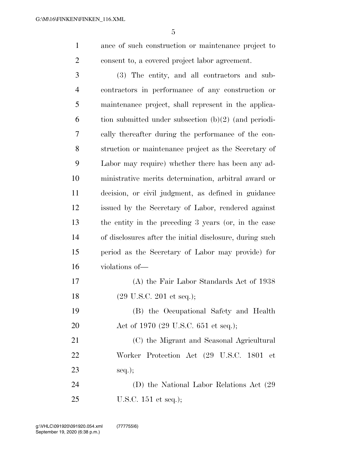ance of such construction or maintenance project to consent to, a covered project labor agreement.

 (3) The entity, and all contractors and sub- contractors in performance of any construction or maintenance project, shall represent in the applica- tion submitted under subsection  $(b)(2)$  (and periodi- cally thereafter during the performance of the con- struction or maintenance project as the Secretary of Labor may require) whether there has been any ad- ministrative merits determination, arbitral award or decision, or civil judgment, as defined in guidance issued by the Secretary of Labor, rendered against the entity in the preceding 3 years (or, in the case of disclosures after the initial disclosure, during such period as the Secretary of Labor may provide) for violations of—

 (A) the Fair Labor Standards Act of 1938 (29 U.S.C. 201 et seq.);

 (B) the Occupational Safety and Health 20 Act of 1970 (29 U.S.C. 651 et seq.);

 (C) the Migrant and Seasonal Agricultural Worker Protection Act (29 U.S.C. 1801 et seq.);

 (D) the National Labor Relations Act (29 U.S.C. 151 et seq.);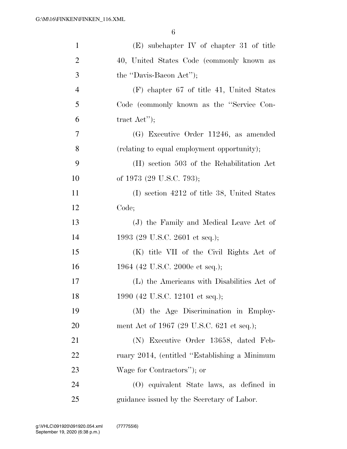| $\mathbf{1}$   | (E) subchapter IV of chapter 31 of title      |
|----------------|-----------------------------------------------|
| $\overline{2}$ | 40, United States Code (commonly known as     |
| 3              | the "Davis-Bacon Act");                       |
| $\overline{4}$ | $(F)$ chapter 67 of title 41, United States   |
| 5              | Code (commonly known as the "Service Con-     |
| 6              | tract $Act$ ");                               |
| 7              | (G) Executive Order 11246, as amended         |
| 8              | (relating to equal employment opportunity);   |
| 9              | (H) section 503 of the Rehabilitation Act     |
| 10             | of 1973 (29 U.S.C. 793);                      |
| 11             | (I) section 4212 of title 38, United States   |
| 12             | Code;                                         |
| 13             | (J) the Family and Medical Leave Act of       |
| 14             | 1993 (29 U.S.C. 2601 et seq.);                |
| 15             | (K) title VII of the Civil Rights Act of      |
| 16             | 1964 (42 U.S.C. 2000e et seq.);               |
| 17             | (L) the Americans with Disabilities Act of    |
| 18             | 1990 (42 U.S.C. 12101 et seq.);               |
| 19             | (M) the Age Discrimination in Employ-         |
| 20             | ment Act of 1967 (29 U.S.C. 621 et seq.);     |
| 21             | (N) Executive Order 13658, dated Feb-         |
| 22             | ruary 2014, (entitled "Establishing a Minimum |
| 23             | Wage for Contractors"); or                    |
| 24             | (O) equivalent State laws, as defined in      |
| 25             | guidance issued by the Secretary of Labor.    |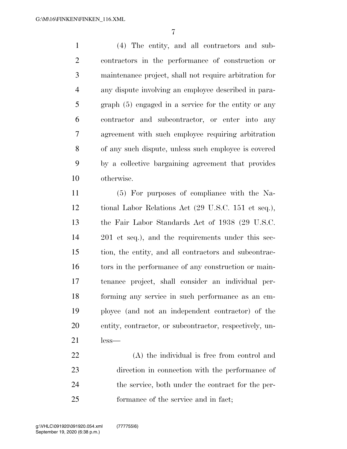(4) The entity, and all contractors and sub- contractors in the performance of construction or maintenance project, shall not require arbitration for any dispute involving an employee described in para- graph (5) engaged in a service for the entity or any contractor and subcontractor, or enter into any agreement with such employee requiring arbitration of any such dispute, unless such employee is covered by a collective bargaining agreement that provides otherwise.

 (5) For purposes of compliance with the Na- tional Labor Relations Act (29 U.S.C. 151 et seq.), the Fair Labor Standards Act of 1938 (29 U.S.C. 201 et seq.), and the requirements under this sec- tion, the entity, and all contractors and subcontrac-16 tors in the performance of any construction or main- tenance project, shall consider an individual per- forming any service in such performance as an em- ployee (and not an independent contractor) of the entity, contractor, or subcontractor, respectively, un-less—

 (A) the individual is free from control and direction in connection with the performance of the service, both under the contract for the per-formance of the service and in fact;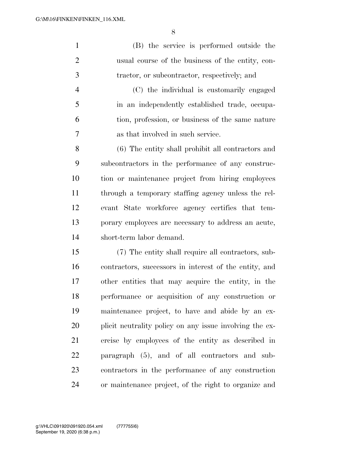(B) the service is performed outside the usual course of the business of the entity, con- tractor, or subcontractor, respectively; and (C) the individual is customarily engaged

 in an independently established trade, occupa- tion, profession, or business of the same nature as that involved in such service.

 (6) The entity shall prohibit all contractors and subcontractors in the performance of any construc- tion or maintenance project from hiring employees through a temporary staffing agency unless the rel- evant State workforce agency certifies that tem- porary employees are necessary to address an acute, short-term labor demand.

 (7) The entity shall require all contractors, sub- contractors, successors in interest of the entity, and other entities that may acquire the entity, in the performance or acquisition of any construction or maintenance project, to have and abide by an ex- plicit neutrality policy on any issue involving the ex- ercise by employees of the entity as described in paragraph (5), and of all contractors and sub- contractors in the performance of any construction or maintenance project, of the right to organize and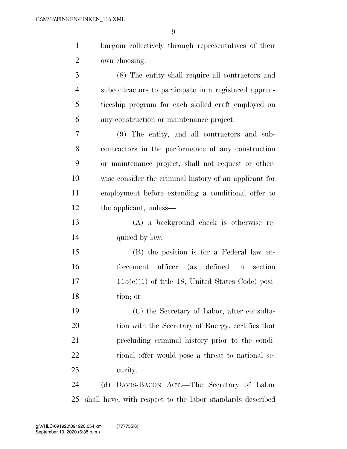| $\mathbf{1}$   | bargain collectively through representatives of their     |
|----------------|-----------------------------------------------------------|
| $\overline{2}$ | own choosing.                                             |
| 3              | (8) The entity shall require all contractors and          |
| $\overline{4}$ | subcontractors to participate in a registered appren-     |
| 5              | ticeship program for each skilled craft employed on       |
| 6              | any construction or maintenance project.                  |
| 7              | (9) The entity, and all contractors and sub-              |
| 8              | contractors in the performance of any construction        |
| 9              | or maintenance project, shall not request or other-       |
| 10             | wise consider the criminal history of an applicant for    |
| 11             | employment before extending a conditional offer to        |
| 12             | the applicant, unless—                                    |
| 13             | (A) a background check is otherwise re-                   |
| 14             | quired by law;                                            |
| 15             | (B) the position is for a Federal law en-                 |
| 16             | officer (as defined in section<br>forcement               |
| 17             | $115(c)(1)$ of title 18, United States Code) posi-        |
| 18             | tion; or                                                  |
| 19             | (C) the Secretary of Labor, after consulta-               |
| 20             | tion with the Secretary of Energy, certifies that         |
| 21             | precluding criminal history prior to the condi-           |
| 22             | tional offer would pose a threat to national se-          |
| 23             | curity.                                                   |
| 24             | (d) DAVIS-BACON ACT.—The Secretary of Labor               |
| 25             | shall have, with respect to the labor standards described |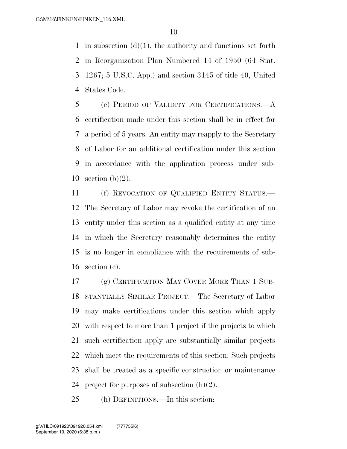1 in subsection  $(d)(1)$ , the authority and functions set forth in Reorganization Plan Numbered 14 of 1950 (64 Stat. 1267; 5 U.S.C. App.) and section 3145 of title 40, United States Code.

 (e) PERIOD OF VALIDITY FOR CERTIFICATIONS.—A certification made under this section shall be in effect for a period of 5 years. An entity may reapply to the Secretary of Labor for an additional certification under this section in accordance with the application process under sub-10 section  $(b)(2)$ .

 (f) REVOCATION OF QUALIFIED ENTITY STATUS.— The Secretary of Labor may revoke the certification of an entity under this section as a qualified entity at any time in which the Secretary reasonably determines the entity is no longer in compliance with the requirements of sub-section (c).

 (g) CERTIFICATION MAY COVER MORE THAN 1 SUB- STANTIALLY SIMILAR PROJECT.—The Secretary of Labor may make certifications under this section which apply with respect to more than 1 project if the projects to which such certification apply are substantially similar projects which meet the requirements of this section. Such projects shall be treated as a specific construction or maintenance 24 project for purposes of subsection  $(h)(2)$ .

(h) DEFINITIONS.—In this section: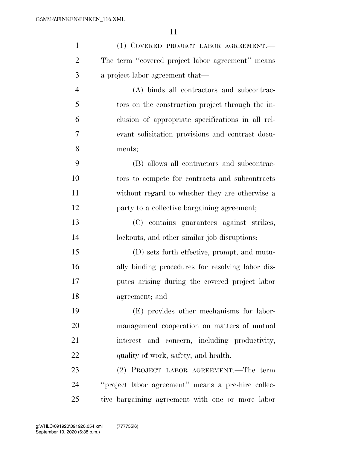| $\mathbf{1}$   | (1) COVERED PROJECT LABOR AGREEMENT.               |
|----------------|----------------------------------------------------|
| $\overline{2}$ | The term "covered project labor agreement" means   |
| 3              | a project labor agreement that—                    |
| $\overline{4}$ | (A) binds all contractors and subcontrac-          |
| 5              | tors on the construction project through the in-   |
| 6              | clusion of appropriate specifications in all rel-  |
| 7              | evant solicitation provisions and contract docu-   |
| 8              | ments;                                             |
| 9              | (B) allows all contractors and subcontrac-         |
| 10             | tors to compete for contracts and subcontracts     |
| 11             | without regard to whether they are otherwise a     |
| 12             | party to a collective bargaining agreement;        |
| 13             | (C) contains guarantees against strikes,           |
| 14             | lockouts, and other similar job disruptions;       |
| 15             | (D) sets forth effective, prompt, and mutu-        |
| 16             | ally binding procedures for resolving labor dis-   |
| 17             | putes arising during the covered project labor     |
| 18             | agreement; and                                     |
| 19             | (E) provides other mechanisms for labor-           |
| 20             | management cooperation on matters of mutual        |
| 21             | interest and concern, including productivity,      |
| 22             | quality of work, safety, and health.               |
| 23             | (2) PROJECT LABOR AGREEMENT.—The term              |
| 24             | "project labor agreement" means a pre-hire collec- |
| 25             | tive bargaining agreement with one or more labor   |